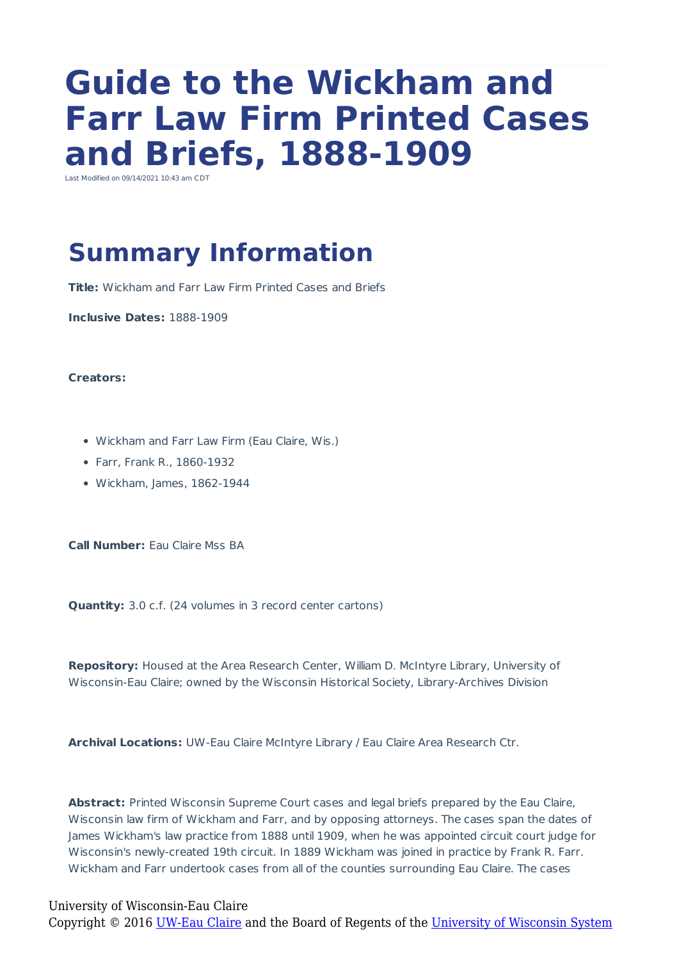# **Guide to the Wickham and Farr Law Firm Printed Cases and Briefs, 1888-1909**

Last Modified on 09/14/2021 10:43 am CDT

# **Summary Information**

**Title:** Wickham and Farr Law Firm Printed Cases and Briefs

**Inclusive Dates:** 1888-1909

#### **Creators:**

- Wickham and Farr Law Firm (Eau Claire, Wis.)
- Farr, Frank R., 1860-1932
- Wickham, James, 1862-1944

**Call Number:** Eau Claire Mss BA

**Quantity:** 3.0 c.f. (24 volumes in 3 record center cartons)

**Repository:** Housed at the Area Research Center, William D. McIntyre Library, University of Wisconsin-Eau Claire; owned by the Wisconsin Historical Society, Library-Archives Division

**Archival Locations:** UW-Eau Claire McIntyre Library / Eau Claire Area Research Ctr.

Abstract: Printed Wisconsin Supreme Court cases and legal briefs prepared by the Eau Claire, Wisconsin law firm of Wickham and Farr, and by opposing attorneys. The cases span the dates of James Wickham's law practice from 1888 until 1909, when he was appointed circuit court judge for Wisconsin's newly-created 19th circuit. In 1889 Wickham was joined in practice by Frank R. Farr. Wickham and Farr undertook cases from all of the counties surrounding Eau Claire. The cases

#### University of Wisconsin-Eau Claire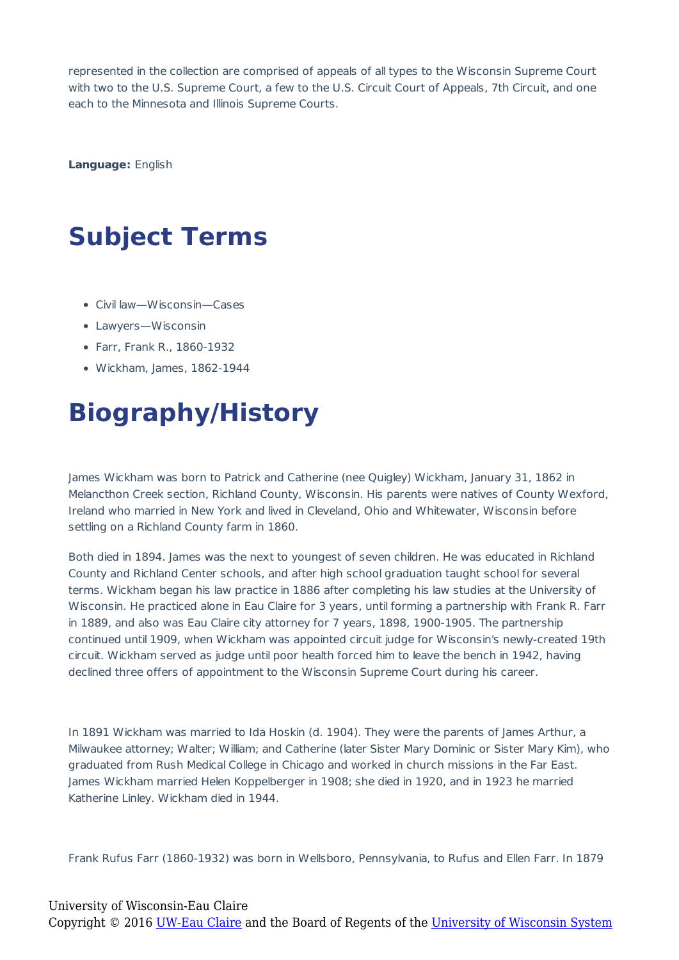represented in the collection are comprised of appeals of all types to the Wisconsin Supreme Court with two to the U.S. Supreme Court, a few to the U.S. Circuit Court of Appeals, 7th Circuit, and one each to the Minnesota and Illinois Supreme Courts.

**Language:** English

# **Subject Terms**

- Civil law—Wisconsin—Cases
- Lawyers—Wisconsin
- Farr, Frank R., 1860-1932
- Wickham, James, 1862-1944

## **Biography/History**

James Wickham was born to Patrick and Catherine (nee Quigley) Wickham, January 31, 1862 in Melancthon Creek section, Richland County, Wisconsin. His parents were natives of County Wexford, Ireland who married in New York and lived in Cleveland, Ohio and Whitewater, Wisconsin before settling on a Richland County farm in 1860.

Both died in 1894. James was the next to youngest of seven children. He was educated in Richland County and Richland Center schools, and after high school graduation taught school for several terms. Wickham began his law practice in 1886 after completing his law studies at the University of Wisconsin. He practiced alone in Eau Claire for 3 years, until forming a partnership with Frank R. Farr in 1889, and also was Eau Claire city attorney for 7 years, 1898, 1900-1905. The partnership continued until 1909, when Wickham was appointed circuit judge for Wisconsin's newly-created 19th circuit. Wickham served as judge until poor health forced him to leave the bench in 1942, having declined three offers of appointment to the Wisconsin Supreme Court during his career.

In 1891 Wickham was married to Ida Hoskin (d. 1904). They were the parents of James Arthur, a Milwaukee attorney; Walter; William; and Catherine (later Sister Mary Dominic or Sister Mary Kim), who graduated from Rush Medical College in Chicago and worked in church missions in the Far East. James Wickham married Helen Koppelberger in 1908; she died in 1920, and in 1923 he married Katherine Linley. Wickham died in 1944.

Frank Rufus Farr (1860-1932) was born in Wellsboro, Pennsylvania, to Rufus and Ellen Farr. In 1879

#### University of Wisconsin-Eau Claire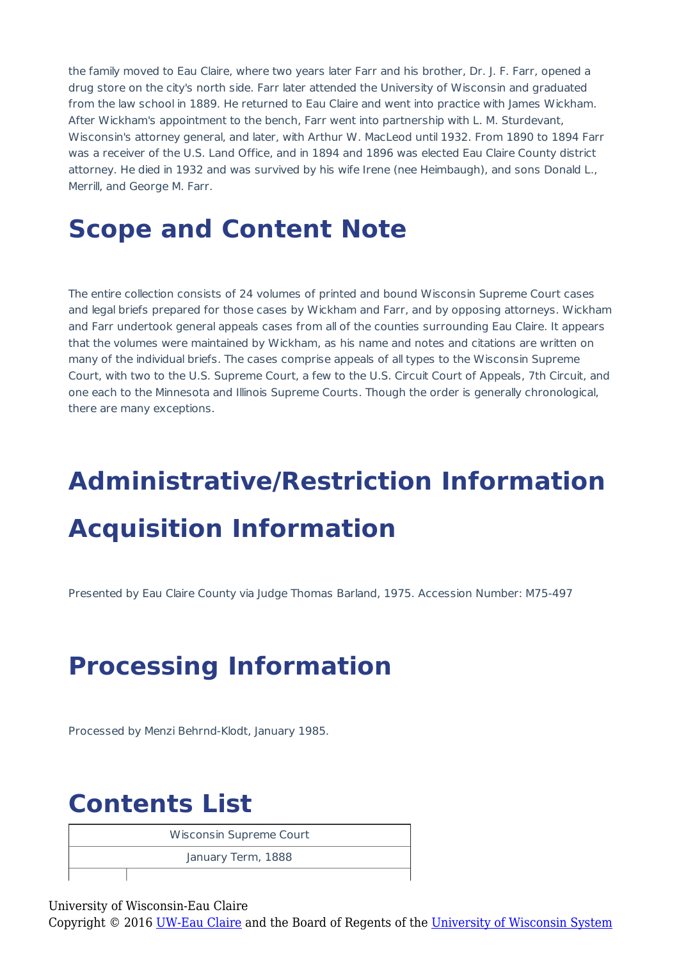the family moved to Eau Claire, where two years later Farr and his brother, Dr. J. F. Farr, opened a drug store on the city's north side. Farr later attended the University of Wisconsin and graduated from the law school in 1889. He returned to Eau Claire and went into practice with James Wickham. After Wickham's appointment to the bench, Farr went into partnership with L. M. Sturdevant, Wisconsin's attorney general, and later, with Arthur W. MacLeod until 1932. From 1890 to 1894 Farr was a receiver of the U.S. Land Office, and in 1894 and 1896 was elected Eau Claire County district attorney. He died in 1932 and was survived by his wife Irene (nee Heimbaugh), and sons Donald L., Merrill, and George M. Farr.

### **Scope and Content Note**

The entire collection consists of 24 volumes of printed and bound Wisconsin Supreme Court cases and legal briefs prepared for those cases by Wickham and Farr, and by opposing attorneys. Wickham and Farr undertook general appeals cases from all of the counties surrounding Eau Claire. It appears that the volumes were maintained by Wickham, as his name and notes and citations are written on many of the individual briefs. The cases comprise appeals of all types to the Wisconsin Supreme Court, with two to the U.S. Supreme Court, a few to the U.S. Circuit Court of Appeals, 7th Circuit, and one each to the Minnesota and Illinois Supreme Courts. Though the order is generally chronological, there are many exceptions.

# **Administrative/Restriction Information Acquisition Information**

Presented by Eau Claire County via Judge Thomas Barland, 1975. Accession Number: M75-497

# **Processing Information**

Processed by Menzi Behrnd-Klodt, January 1985.

## **Contents List**

Wisconsin Supreme Court

January Term, 1888

University of Wisconsin-Eau Claire Copyright © 2016 [UW-Eau Claire](http://www.uwec.edu) and the Board of Regents of the [University of Wisconsin System](http://www.uwsa.edu/)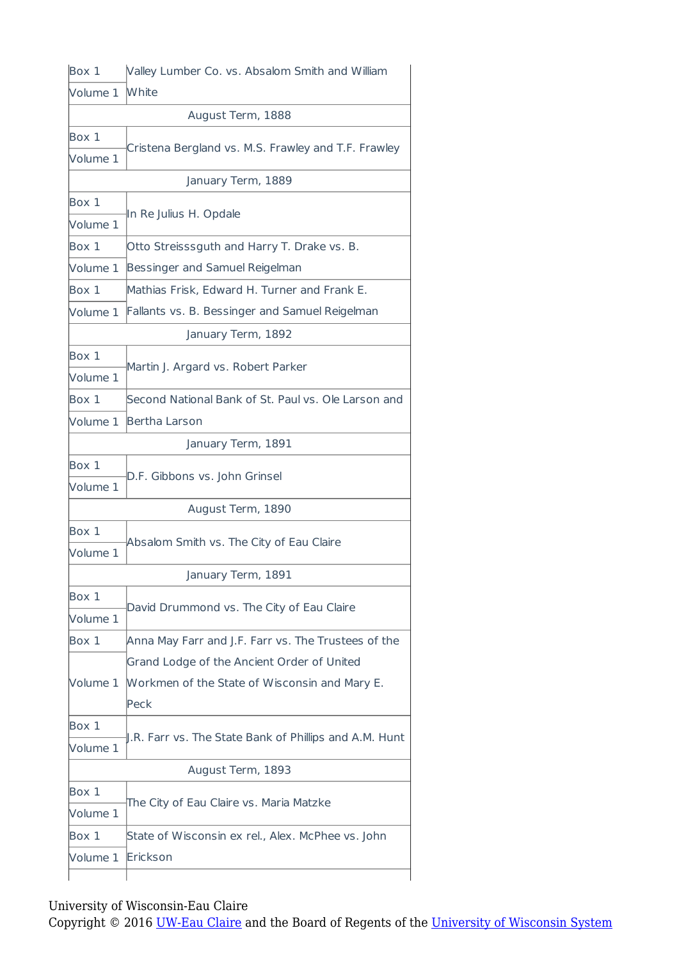| Box 1    | Valley Lumber Co. vs. Absalom Smith and William        |
|----------|--------------------------------------------------------|
| Volume 1 | <b>White</b>                                           |
|          | August Term, 1888                                      |
| Box 1    |                                                        |
| Volume 1 | Cristena Bergland vs. M.S. Frawley and T.F. Frawley    |
|          | January Term, 1889                                     |
| Box 1    | In Re Julius H. Opdale                                 |
| Volume 1 |                                                        |
| Box 1    | Otto Streisssguth and Harry T. Drake vs. B.            |
| Volume 1 | Bessinger and Samuel Reigelman                         |
| Box 1    | Mathias Frisk, Edward H. Turner and Frank E.           |
| Volume 1 | Fallants vs. B. Bessinger and Samuel Reigelman         |
|          | January Term, 1892                                     |
| Box 1    | Martin J. Argard vs. Robert Parker                     |
| Volume 1 |                                                        |
| Box 1    | Second National Bank of St. Paul vs. Ole Larson and    |
| Volume 1 | Bertha Larson                                          |
|          | January Term, 1891                                     |
| Box 1    | D.F. Gibbons vs. John Grinsel                          |
| Volume 1 |                                                        |
|          | August Term, 1890                                      |
| Box 1    | Absalom Smith vs. The City of Eau Claire               |
| Volume 1 |                                                        |
|          | January Term, 1891                                     |
| Box 1    | David Drummond vs. The City of Eau Claire              |
| Volume 1 |                                                        |
| Box 1    | Anna May Farr and J.F. Farr vs. The Trustees of the    |
|          | Grand Lodge of the Ancient Order of United             |
| Volume 1 | Workmen of the State of Wisconsin and Mary E.<br>Peck  |
| Box 1    |                                                        |
| Volume 1 | J.R. Farr vs. The State Bank of Phillips and A.M. Hunt |
|          | August Term, 1893                                      |
| Box 1    |                                                        |
| Volume 1 | The City of Eau Claire vs. Maria Matzke                |
| Box 1    | State of Wisconsin ex rel., Alex. McPhee vs. John      |
| Volume 1 | Erickson                                               |
|          |                                                        |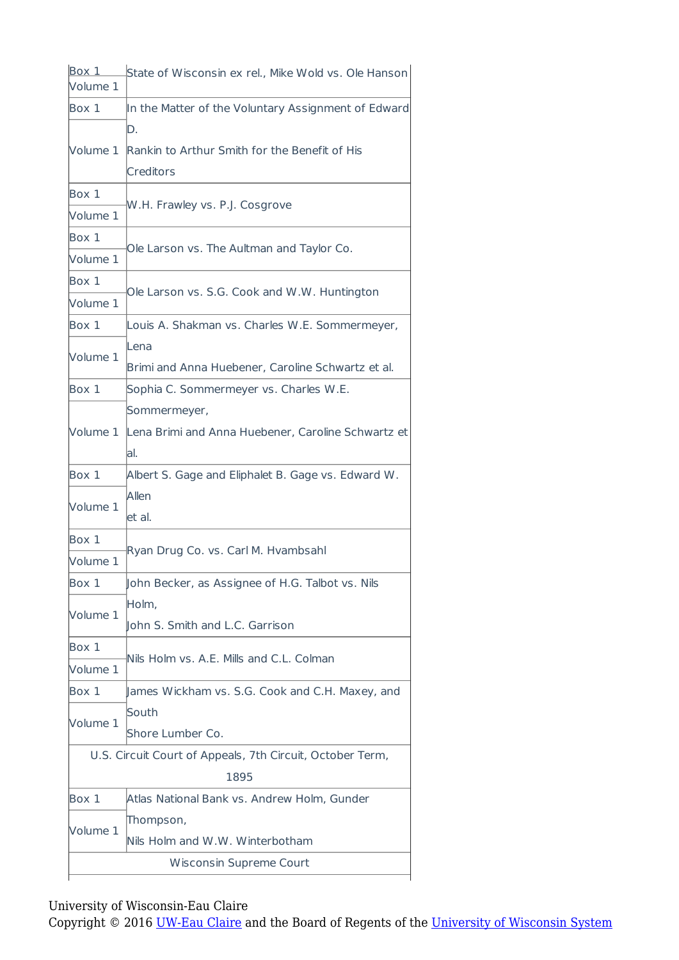| Box 1<br>Volume 1 | State of Wisconsin ex rel., Mike Wold vs. Ole Hanson      |  |
|-------------------|-----------------------------------------------------------|--|
| Box 1             | In the Matter of the Voluntary Assignment of Edward       |  |
|                   | D.                                                        |  |
| Volume 1          | Rankin to Arthur Smith for the Benefit of His             |  |
|                   | Creditors                                                 |  |
| Box 1             | W.H. Frawley vs. P.J. Cosgrove                            |  |
| Volume 1          |                                                           |  |
| Box 1             | Ole Larson vs. The Aultman and Taylor Co.                 |  |
| Volume 1          |                                                           |  |
| Box 1             |                                                           |  |
| Volume 1          | Ole Larson vs. S.G. Cook and W.W. Huntington              |  |
| Box 1             | Louis A. Shakman vs. Charles W.E. Sommermeyer,            |  |
|                   | Lena                                                      |  |
| Volume 1          | Brimi and Anna Huebener, Caroline Schwartz et al.         |  |
| Box 1             | Sophia C. Sommermeyer vs. Charles W.E.                    |  |
|                   | Sommermeyer,                                              |  |
| Volume 1          | Lena Brimi and Anna Huebener, Caroline Schwartz et        |  |
|                   | lal.                                                      |  |
| Box 1             | Albert S. Gage and Eliphalet B. Gage vs. Edward W.        |  |
|                   | Allen                                                     |  |
| Volume 1          | let al.                                                   |  |
| Box 1             |                                                           |  |
| Volume 1          | Ryan Drug Co. vs. Carl M. Hvambsahl                       |  |
| Box 1             | John Becker, as Assignee of H.G. Talbot vs. Nils          |  |
|                   | Holm,                                                     |  |
| Volume 1          | ohn S. Smith and L.C. Garrison                            |  |
| Box 1             | Nils Holm vs. A.E. Mills and C.L. Colman                  |  |
| Volume 1          |                                                           |  |
| Box 1             | James Wickham vs. S.G. Cook and C.H. Maxey, and           |  |
| Volume 1          | South                                                     |  |
|                   | Shore Lumber Co.                                          |  |
|                   | U.S. Circuit Court of Appeals, 7th Circuit, October Term, |  |
|                   | 1895                                                      |  |
| Box 1             | Atlas National Bank vs. Andrew Holm, Gunder               |  |
| Volume 1          | Thompson,                                                 |  |
|                   | Nils Holm and W.W. Winterbotham                           |  |
|                   | Wisconsin Supreme Court                                   |  |
|                   |                                                           |  |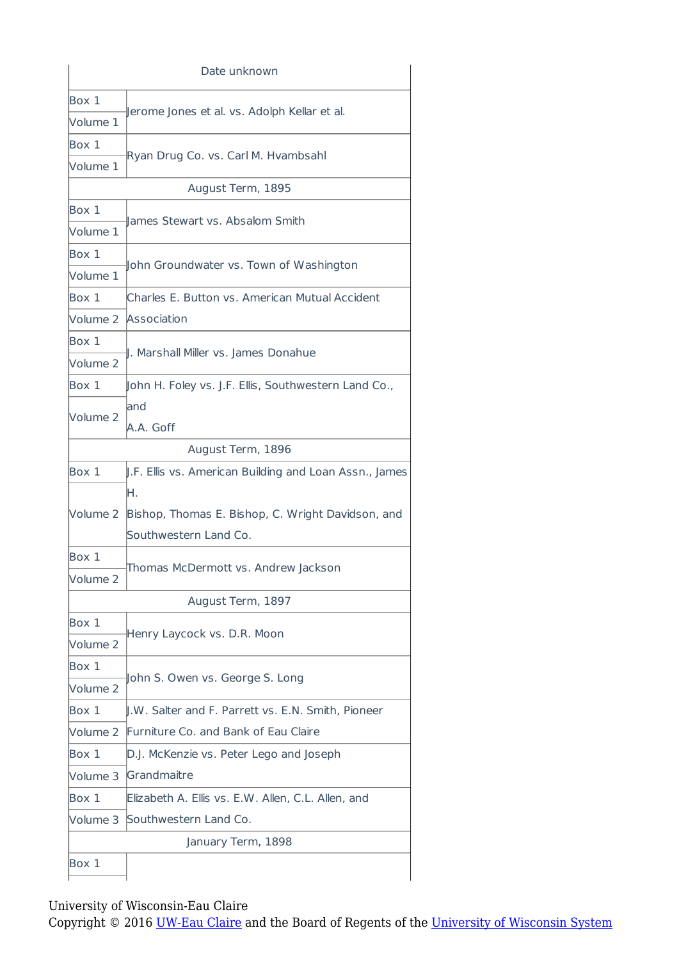|                     | Date unknown                                               |  |
|---------------------|------------------------------------------------------------|--|
| Box 1               |                                                            |  |
| Volume 1            | Jerome Jones et al. vs. Adolph Kellar et al.               |  |
| Box 1               | Ryan Drug Co. vs. Carl M. Hvambsahl                        |  |
| Volume 1            |                                                            |  |
|                     | August Term, 1895                                          |  |
| Box 1               | lames Stewart vs. Absalom Smith                            |  |
| Volume 1            |                                                            |  |
| Box 1               |                                                            |  |
| Volume 1            | John Groundwater vs. Town of Washington                    |  |
| Box 1               | Charles E. Button vs. American Mutual Accident             |  |
|                     | Volume 2 Association                                       |  |
| Box 1               |                                                            |  |
| Volume <sub>2</sub> | I. Marshall Miller vs. James Donahue                       |  |
| Box 1               | John H. Foley vs. J.F. Ellis, Southwestern Land Co.,       |  |
|                     | land                                                       |  |
| Volume 2            | A.A. Goff                                                  |  |
|                     | August Term, 1896                                          |  |
| Box 1               | J.F. Ellis vs. American Building and Loan Assn., James     |  |
|                     | ŀΗ.                                                        |  |
|                     | Volume 2 Bishop, Thomas E. Bishop, C. Wright Davidson, and |  |
|                     | Southwestern Land Co.                                      |  |
| Box 1               |                                                            |  |
| Volume 2            | Thomas McDermott vs. Andrew Jackson                        |  |
|                     | August Term, 1897                                          |  |
| Box 1               | Henry Laycock vs. D.R. Moon                                |  |
| Volume <sub>2</sub> |                                                            |  |
| Box 1               |                                                            |  |
| Volume <sub>2</sub> | John S. Owen vs. George S. Long                            |  |
| Box 1               | I.W. Salter and F. Parrett vs. E.N. Smith, Pioneer         |  |
| Volume 2            | Furniture Co. and Bank of Eau Claire                       |  |
| Box 1               | D.J. McKenzie vs. Peter Lego and Joseph                    |  |
| Volume 3            | Grandmaitre                                                |  |
| Box 1               | Elizabeth A. Ellis vs. E.W. Allen, C.L. Allen, and         |  |
| Volume 3            | Southwestern Land Co.                                      |  |
|                     | January Term, 1898                                         |  |
| Box 1               |                                                            |  |
|                     |                                                            |  |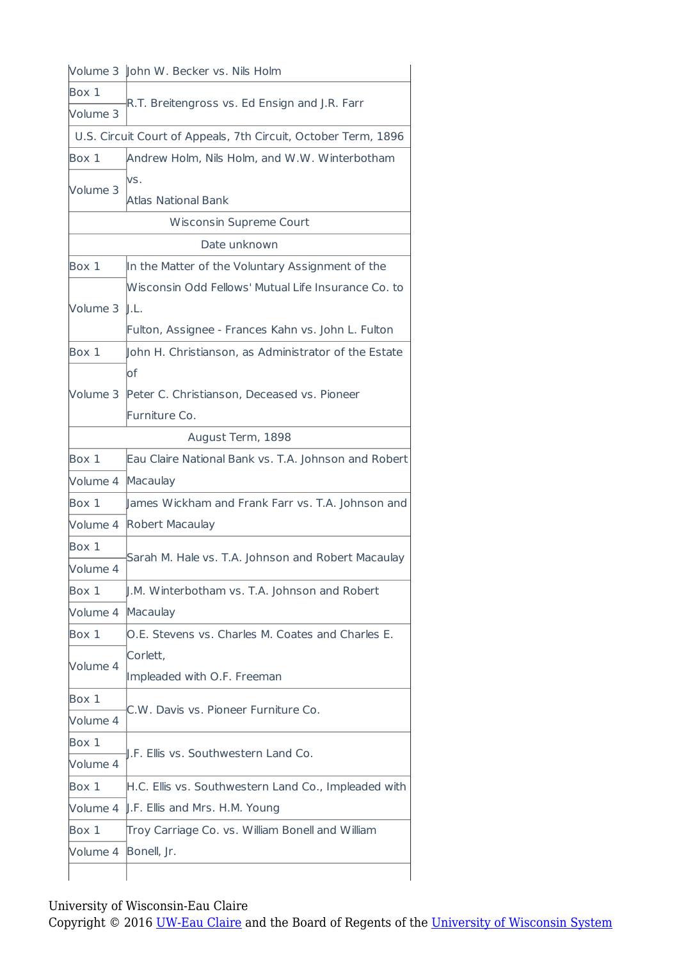|                | Volume 3 John W. Becker vs. Nils Holm                          |  |
|----------------|----------------------------------------------------------------|--|
| Box 1          | R.T. Breitengross vs. Ed Ensign and J.R. Farr                  |  |
| Volume 3       |                                                                |  |
|                | U.S. Circuit Court of Appeals, 7th Circuit, October Term, 1896 |  |
| Box 1          | Andrew Holm, Nils Holm, and W.W. Winterbotham                  |  |
| Volume 3       | lvs.<br><b>Atlas National Bank</b>                             |  |
|                | <b>Wisconsin Supreme Court</b>                                 |  |
|                | Date unknown                                                   |  |
| Box 1          | In the Matter of the Voluntary Assignment of the               |  |
|                | Wisconsin Odd Fellows' Mutual Life Insurance Co. to            |  |
| Volume 3 ll.L. |                                                                |  |
|                | Fulton, Assignee - Frances Kahn vs. John L. Fulton             |  |
| Box 1          | John H. Christianson, as Administrator of the Estate           |  |
|                | lof                                                            |  |
| Volume 3       | Peter C. Christianson, Deceased vs. Pioneer                    |  |
|                | Furniture Co.                                                  |  |
|                | August Term, 1898                                              |  |
| Box 1          | Eau Claire National Bank vs. T.A. Johnson and Robert           |  |
| Volume 4       | Macaulay                                                       |  |
| Box 1          | James Wickham and Frank Farr vs. T.A. Johnson and              |  |
| Volume 4       | Robert Macaulay                                                |  |
| Box 1          |                                                                |  |
| Volume 4       | Sarah M. Hale vs. T.A. Johnson and Robert Macaulay             |  |
| Box 1          | J.M. Winterbotham vs. T.A. Johnson and Robert                  |  |
| Volume 4       | Macaulay                                                       |  |
| Box 1          | O.E. Stevens vs. Charles M. Coates and Charles E.              |  |
|                | Corlett,                                                       |  |
| Volume 4       | Impleaded with O.F. Freeman                                    |  |
| Box 1          |                                                                |  |
| Volume 4       | C.W. Davis vs. Pioneer Furniture Co.                           |  |
| Box 1          |                                                                |  |
| Volume 4       | I.F. Ellis vs. Southwestern Land Co.                           |  |
| Box 1          | H.C. Ellis vs. Southwestern Land Co., Impleaded with           |  |
| Volume 4       | J.F. Ellis and Mrs. H.M. Young                                 |  |
| Box 1          | Troy Carriage Co. vs. William Bonell and William               |  |
| Volume 4       | Bonell, Jr.                                                    |  |
|                |                                                                |  |
|                |                                                                |  |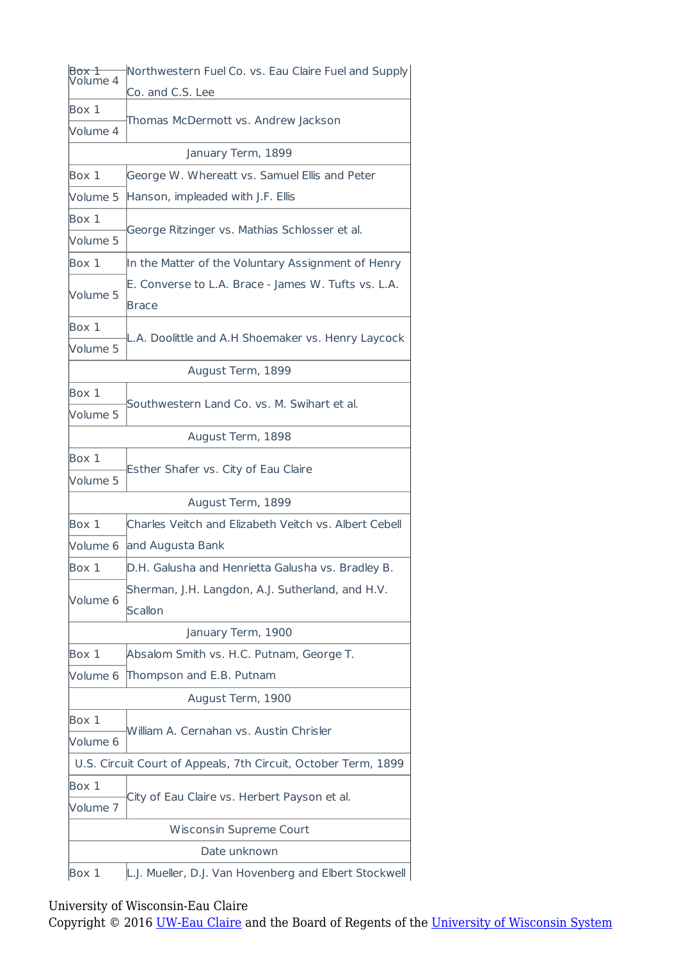| Box 1<br>Volume 4 | Northwestern Fuel Co. vs. Eau Claire Fuel and Supply           |  |  |
|-------------------|----------------------------------------------------------------|--|--|
|                   | Co. and C.S. Lee                                               |  |  |
| Box 1             | Thomas McDermott vs. Andrew Jackson                            |  |  |
| Volume 4          |                                                                |  |  |
|                   | January Term, 1899                                             |  |  |
| Box 1             | George W. Whereatt vs. Samuel Ellis and Peter                  |  |  |
| Volume 5          | Hanson, impleaded with J.F. Ellis                              |  |  |
| Box 1             | George Ritzinger vs. Mathias Schlosser et al.                  |  |  |
| Volume 5          |                                                                |  |  |
| Box 1             | In the Matter of the Voluntary Assignment of Henry             |  |  |
| Volume 5          | E. Converse to L.A. Brace - James W. Tufts vs. L.A.<br>Brace   |  |  |
| Box 1             |                                                                |  |  |
| Volume 5          | L.A. Doolittle and A.H Shoemaker vs. Henry Laycock             |  |  |
| August Term, 1899 |                                                                |  |  |
| Box 1             |                                                                |  |  |
| Volume 5          | Southwestern Land Co. vs. M. Swihart et al.                    |  |  |
|                   | August Term, 1898                                              |  |  |
| Box 1             |                                                                |  |  |
| Volume 5          | Esther Shafer vs. City of Eau Claire                           |  |  |
|                   | August Term, 1899                                              |  |  |
| Box 1             | Charles Veitch and Elizabeth Veitch vs. Albert Cebell          |  |  |
| Volume 6          | and Augusta Bank                                               |  |  |
| Box 1             | D.H. Galusha and Henrietta Galusha vs. Bradley B.              |  |  |
| Volume 6          | Sherman, J.H. Langdon, A.J. Sutherland, and H.V.<br>Scallon    |  |  |
|                   | January Term, 1900                                             |  |  |
| Box 1             | Absalom Smith vs. H.C. Putnam, George T.                       |  |  |
| Volume 6          | Thompson and E.B. Putnam                                       |  |  |
|                   | August Term, 1900                                              |  |  |
| Box 1<br>Volume 6 | William A. Cernahan vs. Austin Chrisler                        |  |  |
|                   | U.S. Circuit Court of Appeals, 7th Circuit, October Term, 1899 |  |  |
| Box 1             |                                                                |  |  |
| Volume 7          | City of Eau Claire vs. Herbert Payson et al.                   |  |  |
|                   | Wisconsin Supreme Court                                        |  |  |
|                   | Date unknown                                                   |  |  |
| Box 1             | L.J. Mueller, D.J. Van Hovenberg and Elbert Stockwell          |  |  |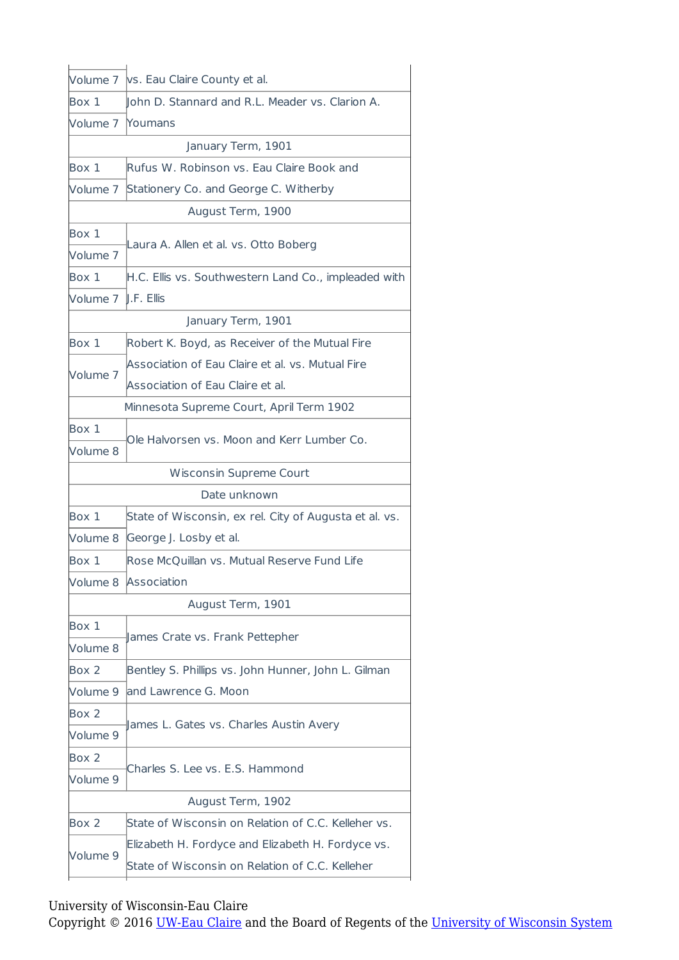|                                          | Volume 7   vs. Eau Claire County et al.                |  |
|------------------------------------------|--------------------------------------------------------|--|
| Box 1                                    | John D. Stannard and R.L. Meader vs. Clarion A.        |  |
| Volume 7                                 | Noumans                                                |  |
|                                          | January Term, 1901                                     |  |
| Box 1                                    | Rufus W. Robinson vs. Eau Claire Book and              |  |
| Volume 7                                 | Stationery Co. and George C. Witherby                  |  |
|                                          | August Term, 1900                                      |  |
| Box 1                                    | Laura A. Allen et al. vs. Otto Boberg                  |  |
| Volume 7                                 |                                                        |  |
| Box 1                                    | H.C. Ellis vs. Southwestern Land Co., impleaded with   |  |
| Volume 7                                 | $\parallel$ .F. Ellis                                  |  |
|                                          | January Term, 1901                                     |  |
| Box 1                                    | Robert K. Boyd, as Receiver of the Mutual Fire         |  |
| Volume 7                                 | Association of Eau Claire et al. vs. Mutual Fire       |  |
|                                          | Association of Eau Claire et al.                       |  |
| Minnesota Supreme Court, April Term 1902 |                                                        |  |
| Box 1                                    | Ole Halvorsen vs. Moon and Kerr Lumber Co.             |  |
| Volume 8                                 |                                                        |  |
|                                          | Wisconsin Supreme Court                                |  |
|                                          | Date unknown                                           |  |
| Box 1                                    | State of Wisconsin, ex rel. City of Augusta et al. vs. |  |
| Volume 8                                 | George J. Losby et al.                                 |  |
| Box 1                                    | Rose McQuillan vs. Mutual Reserve Fund Life            |  |
|                                          | Volume 8 Association                                   |  |
|                                          | August Term, 1901                                      |  |
| Box 1                                    | ames Crate vs. Frank Pettepher                         |  |
| Volume 8                                 |                                                        |  |
| Box 2                                    | Bentley S. Phillips vs. John Hunner, John L. Gilman    |  |
| Volume 9                                 | and Lawrence G. Moon                                   |  |
| Box 2                                    | James L. Gates vs. Charles Austin Avery                |  |
| Volume 9                                 |                                                        |  |
| Box 2                                    |                                                        |  |
| Volume 9                                 | Charles S. Lee vs. E.S. Hammond                        |  |
|                                          | August Term, 1902                                      |  |
| Box 2                                    | State of Wisconsin on Relation of C.C. Kelleher vs.    |  |
|                                          | Elizabeth H. Fordyce and Elizabeth H. Fordyce vs.      |  |
| Volume 9                                 | State of Wisconsin on Relation of C.C. Kelleher        |  |
|                                          |                                                        |  |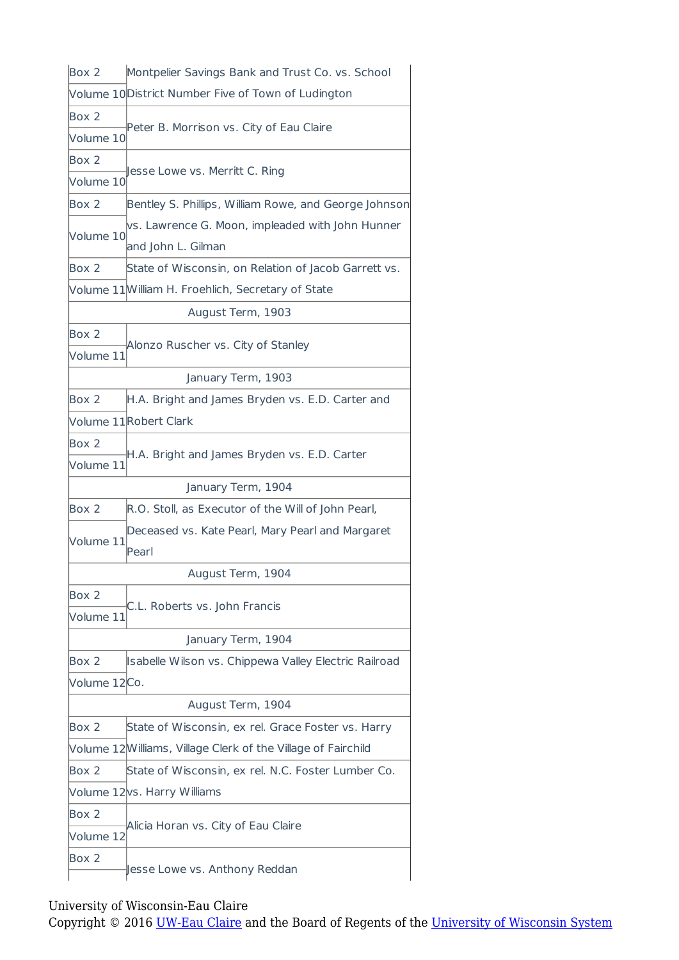| Box 2        | Montpelier Savings Bank and Trust Co. vs. School             |  |
|--------------|--------------------------------------------------------------|--|
|              | Volume 10 District Number Five of Town of Ludington          |  |
| Box 2        | Peter B. Morrison vs. City of Eau Claire                     |  |
| Volume 10    |                                                              |  |
| Box 2        | Jesse Lowe vs. Merritt C. Ring                               |  |
| Volume 10    |                                                              |  |
| Box 2        | Bentley S. Phillips, William Rowe, and George Johnson        |  |
|              | vs. Lawrence G. Moon, impleaded with John Hunner             |  |
| Volume 10    | and John L. Gilman                                           |  |
| Box 2        | State of Wisconsin, on Relation of Jacob Garrett vs.         |  |
|              | Volume 11 William H. Froehlich, Secretary of State           |  |
|              | August Term, 1903                                            |  |
| Box 2        |                                                              |  |
| Volume 11    | Alonzo Ruscher vs. City of Stanley                           |  |
|              | January Term, 1903                                           |  |
| Box 2        | H.A. Bright and James Bryden vs. E.D. Carter and             |  |
|              | Volume 11Robert Clark                                        |  |
| Box 2        |                                                              |  |
| Volume 11    | H.A. Bright and James Bryden vs. E.D. Carter                 |  |
|              | January Term, 1904                                           |  |
| Box 2        | R.O. Stoll, as Executor of the Will of John Pearl,           |  |
|              | Deceased vs. Kate Pearl, Mary Pearl and Margaret             |  |
| Volume 11    | Pearl                                                        |  |
|              | August Term, 1904                                            |  |
| Box 2        |                                                              |  |
| Volume 11    | C.L. Roberts vs. John Francis                                |  |
|              | January Term, 1904                                           |  |
| Box 2        | Isabelle Wilson vs. Chippewa Valley Electric Railroad        |  |
| Volume 12Co. |                                                              |  |
|              | August Term, 1904                                            |  |
| Box 2        | State of Wisconsin, ex rel. Grace Foster vs. Harry           |  |
|              | Volume 12Williams, Village Clerk of the Village of Fairchild |  |
| Box 2        | State of Wisconsin, ex rel. N.C. Foster Lumber Co.           |  |
|              | Volume 12 vs. Harry Williams                                 |  |
| Box 2        |                                                              |  |
| Volume 12    | Alicia Horan vs. City of Eau Claire                          |  |
| Box 2        |                                                              |  |
|              | sesse Lowe vs. Anthony Reddan                                |  |
|              |                                                              |  |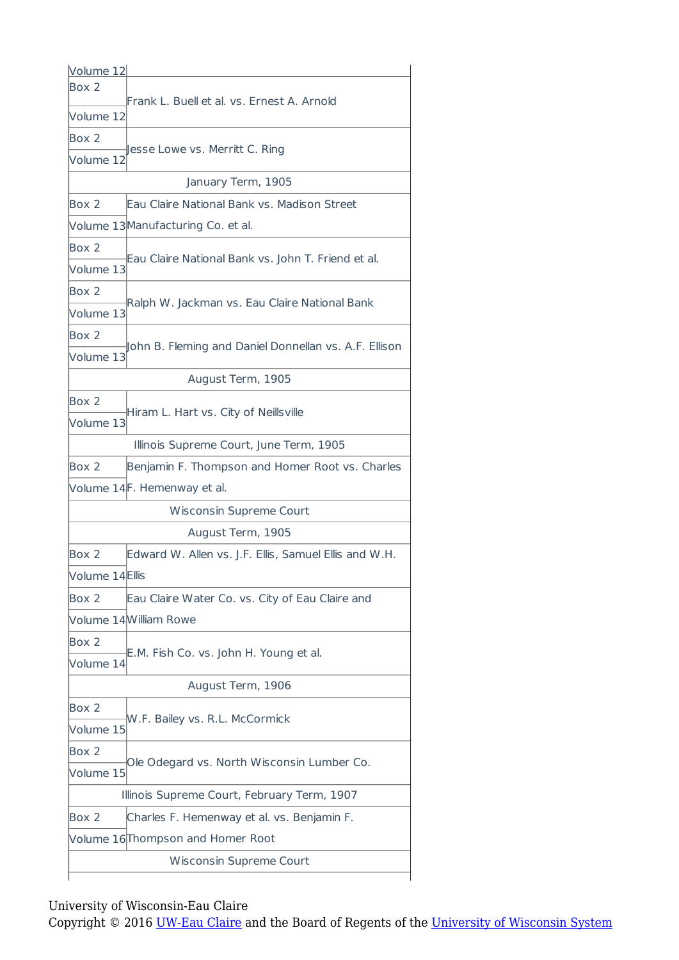| Volume 12      |                                                       |  |
|----------------|-------------------------------------------------------|--|
| Box 2          | Frank L. Buell et al. vs. Ernest A. Arnold            |  |
| Volume 12      |                                                       |  |
| Box 2          |                                                       |  |
| Volume 12      | Jesse Lowe vs. Merritt C. Ring                        |  |
|                | January Term, 1905                                    |  |
| Box 2          | Eau Claire National Bank vs. Madison Street           |  |
|                | Volume 13 Manufacturing Co. et al.                    |  |
| Box 2          |                                                       |  |
| Volume 13      | Eau Claire National Bank vs. John T. Friend et al.    |  |
| Box 2          |                                                       |  |
| Volume 13      | Ralph W. Jackman vs. Eau Claire National Bank         |  |
| Box 2          |                                                       |  |
| Volume 13      | ohn B. Fleming and Daniel Donnellan vs. A.F. Ellison  |  |
|                | August Term, 1905                                     |  |
| Box 2          |                                                       |  |
| Volume 13      | Hiram L. Hart vs. City of Neillsville                 |  |
|                | Illinois Supreme Court, June Term, 1905               |  |
| Box 2          | Benjamin F. Thompson and Homer Root vs. Charles       |  |
|                | Volume 14F. Hemenway et al.                           |  |
|                | Wisconsin Supreme Court                               |  |
|                | August Term, 1905                                     |  |
| Box 2          | Edward W. Allen vs. J.F. Ellis, Samuel Ellis and W.H. |  |
| Volume 14Ellis |                                                       |  |
| Box 2          | Eau Claire Water Co. vs. City of Eau Claire and       |  |
|                | Volume 14William Rowe                                 |  |
| Box 2          |                                                       |  |
| Volume 14      | E.M. Fish Co. vs. John H. Young et al.                |  |
|                | August Term, 1906                                     |  |
| Box 2          |                                                       |  |
| Volume 15      | W.F. Bailey vs. R.L. McCormick                        |  |
| Box 2          |                                                       |  |
| Volume 15      | Ole Odegard vs. North Wisconsin Lumber Co.            |  |
|                | Illinois Supreme Court, February Term, 1907           |  |
| Box 2          | Charles F. Hemenway et al. vs. Benjamin F.            |  |
|                | Volume 16 Thompson and Homer Root                     |  |
|                |                                                       |  |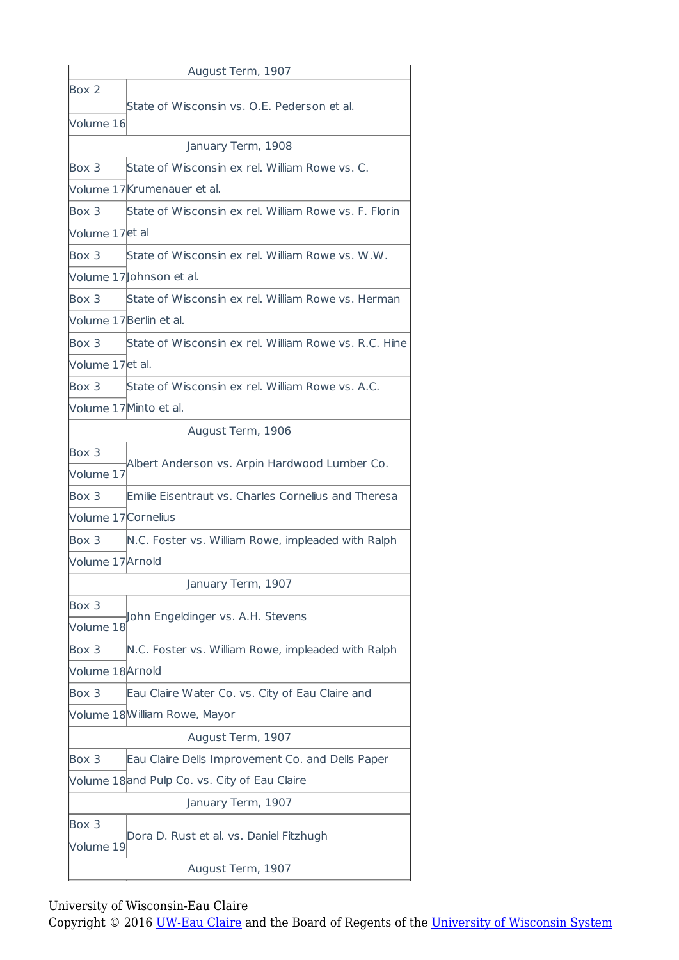| August Term, 1907   |                                                       |  |
|---------------------|-------------------------------------------------------|--|
| Box 2               | State of Wisconsin vs. O.E. Pederson et al.           |  |
| Volume 16           |                                                       |  |
| January Term, 1908  |                                                       |  |
| Box 3               | State of Wisconsin ex rel. William Rowe vs. C.        |  |
|                     | Volume 17Krumenauer et al.                            |  |
| Box 3               | State of Wisconsin ex rel. William Rowe vs. F. Florin |  |
| Volume 17et al      |                                                       |  |
| Box 3               | State of Wisconsin ex rel. William Rowe vs. W.W.      |  |
|                     | Volume 17 Johnson et al.                              |  |
| Box 3               | State of Wisconsin ex rel. William Rowe vs. Herman    |  |
|                     | Volume 17Berlin et al.                                |  |
| Box 3               | State of Wisconsin ex rel. William Rowe vs. R.C. Hine |  |
| Volume 17et al.     |                                                       |  |
| Box 3               | State of Wisconsin ex rel. William Rowe vs. A.C.      |  |
|                     | Volume 17 Minto et al.                                |  |
| August Term, 1906   |                                                       |  |
| Box 3               |                                                       |  |
| Volume 17           | Albert Anderson vs. Arpin Hardwood Lumber Co.         |  |
| Box 3               | Emilie Eisentraut vs. Charles Cornelius and Theresa   |  |
| Volume 17 Cornelius |                                                       |  |
| Box 3               | N.C. Foster vs. William Rowe, impleaded with Ralph    |  |
| Volume 17Arnold     |                                                       |  |
| January Term, 1907  |                                                       |  |
| Box 3               | John Engeldinger vs. A.H. Stevens                     |  |
| Volume 18           |                                                       |  |
| Box 3               | N.C. Foster vs. William Rowe, impleaded with Ralph    |  |
| Volume 18 Arnold    |                                                       |  |
| Box 3               | Eau Claire Water Co. vs. City of Eau Claire and       |  |
|                     | Volume 18William Rowe, Mayor                          |  |
| August Term, 1907   |                                                       |  |
| Box 3               | Eau Claire Dells Improvement Co. and Dells Paper      |  |
|                     | Volume 18and Pulp Co. vs. City of Eau Claire          |  |
|                     | January Term, 1907                                    |  |
| Box 3               | Dora D. Rust et al. vs. Daniel Fitzhugh               |  |
| Volume 19           |                                                       |  |
| August Term, 1907   |                                                       |  |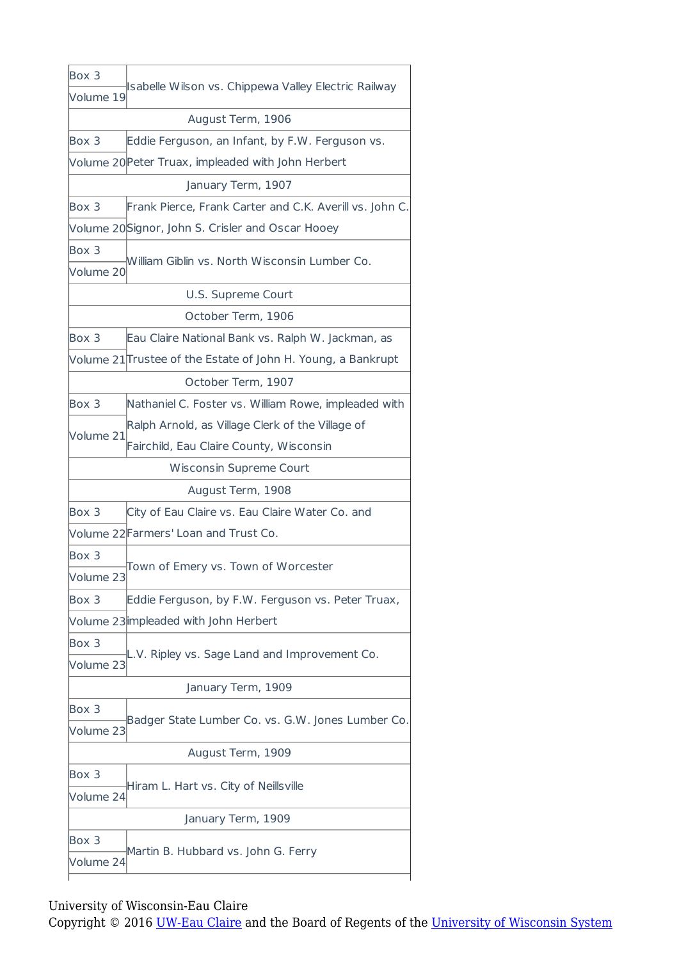| Box 3     |                                                              |  |
|-----------|--------------------------------------------------------------|--|
| Volume 19 | Isabelle Wilson vs. Chippewa Valley Electric Railway         |  |
|           | August Term, 1906                                            |  |
| Box 3     | Eddie Ferguson, an Infant, by F.W. Ferguson vs.              |  |
|           | Volume 20 Peter Truax, impleaded with John Herbert           |  |
|           | January Term, 1907                                           |  |
| Box 3     | Frank Pierce, Frank Carter and C.K. Averill vs. John C.      |  |
|           | Volume 20Signor, John S. Crisler and Oscar Hooey             |  |
| Box 3     |                                                              |  |
| Volume 20 | William Giblin vs. North Wisconsin Lumber Co.                |  |
|           | U.S. Supreme Court                                           |  |
|           | October Term, 1906                                           |  |
| Box 3     | Eau Claire National Bank vs. Ralph W. Jackman, as            |  |
|           | Volume 21 Trustee of the Estate of John H. Young, a Bankrupt |  |
|           | October Term, 1907                                           |  |
| Box 3     | Nathaniel C. Foster vs. William Rowe, impleaded with         |  |
|           | Ralph Arnold, as Village Clerk of the Village of             |  |
| Volume 21 | Fairchild, Eau Claire County, Wisconsin                      |  |
|           | Wisconsin Supreme Court                                      |  |
|           | August Term, 1908                                            |  |
| Box 3     | City of Eau Claire vs. Eau Claire Water Co. and              |  |
|           | Volume 22 Farmers' Loan and Trust Co.                        |  |
| Box 3     |                                                              |  |
| Volume 23 | Town of Emery vs. Town of Worcester                          |  |
| Box 3     | Eddie Ferguson, by F.W. Ferguson vs. Peter Truax,            |  |
|           | Volume 23 impleaded with John Herbert                        |  |
| Box 3     |                                                              |  |
| Volume 23 | L.V. Ripley vs. Sage Land and Improvement Co.                |  |
|           | January Term, 1909                                           |  |
| Box 3     |                                                              |  |
| Volume 23 | Badger State Lumber Co. vs. G.W. Jones Lumber Co.            |  |
|           | August Term, 1909                                            |  |
| Box 3     |                                                              |  |
| Volume 24 | Hiram L. Hart vs. City of Neillsville                        |  |
|           | January Term, 1909                                           |  |
| Box 3     | Martin B. Hubbard vs. John G. Ferry                          |  |